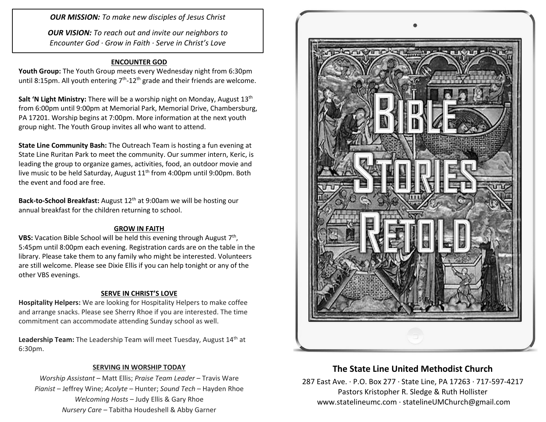*OUR MISSION: To make new disciples of Jesus Christ*

*OUR VISION: To reach out and invite our neighbors to Encounter God · Grow in Faith · Serve in Christ's Love*

### **ENCOUNTER GOD**

**Youth Group:** The Youth Group meets every Wednesday night from 6:30pm until 8:15pm. All youth entering  $7<sup>th</sup>$ -12<sup>th</sup> grade and their friends are welcome.

**Salt 'N Light Ministry:** There will be a worship night on Monday, August 13<sup>th</sup> from 6:00pm until 9:00pm at Memorial Park, Memorial Drive, Chambersburg, PA 17201. Worship begins at 7:00pm. More information at the next youth group night. The Youth Group invites all who want to attend.

**State Line Community Bash:** The Outreach Team is hosting a fun evening at State Line Ruritan Park to meet the community. Our summer intern, Keric, is leading the group to organize games, activities, food, an outdoor movie and live music to be held Saturday, August 11<sup>th</sup> from 4:00pm until 9:00pm. Both the event and food are free.

**Back-to-School Breakfast:** August 12th at 9:00am we will be hosting our annual breakfast for the children returning to school.

#### **GROW IN FAITH**

**VBS:** Vacation Bible School will be held this evening through August 7<sup>th</sup>, 5:45pm until 8:00pm each evening. Registration cards are on the table in the library. Please take them to any family who might be interested. Volunteers are still welcome. Please see Dixie Ellis if you can help tonight or any of the other VBS evenings.

### **SERVE IN CHRIST'S LOVE**

**Hospitality Helpers:** We are looking for Hospitality Helpers to make coffee and arrange snacks. Please see Sherry Rhoe if you are interested. The time commitment can accommodate attending Sunday school as well.

Leadership Team: The Leadership Team will meet Tuesday, August 14<sup>th</sup> at 6:30pm.

#### **SERVING IN WORSHIP TODAY**

*Worship Assistant* – Matt Ellis; *Praise Team Leader* – Travis Ware *Pianist* – Jeffrey Wine; *Acolyte* – Hunter; *Sound Tech* – Hayden Rhoe *Welcoming Hosts* – Judy Ellis & Gary Rhoe *Nursery Care* – Tabitha Houdeshell & Abby Garner



# **The State Line United Methodist Church**

287 East Ave. · P.O. Box 277 · State Line, PA 17263 · 717-597-4217 Pastors Kristopher R. Sledge & Ruth Hollister [www.statelineumc.com](http://www.statelineumc.com/) · statelineUMChurch@gmail.com